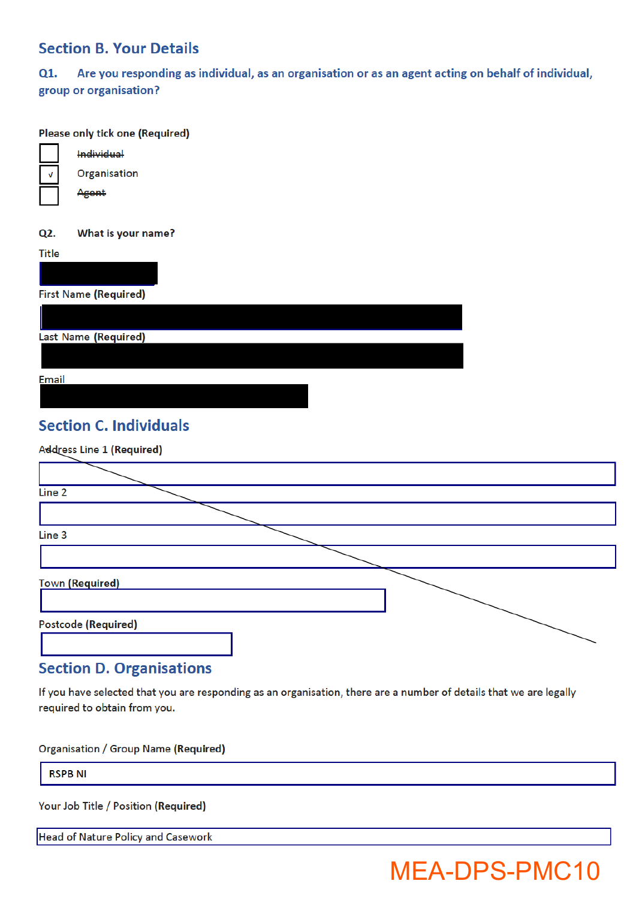### **Section B. Your Details**

 $Q1.$ Are you responding as individual, as an organisation or as an agent acting on behalf of individual, group or organisation?

#### Please only tick one (Required)



Organisation Agent

Individual

Q2. What is your name?

Title **First Name (Required)** Last Name (Required) **Email** 

# **Section C. Individuals**

Address Line 1 (Required)

| Line 2                     |  |
|----------------------------|--|
|                            |  |
| Line 3                     |  |
|                            |  |
| <b>Town (Required)</b>     |  |
| <b>Postcode (Required)</b> |  |

### **Section D. Organisations**

If you have selected that you are responding as an organisation, there are a number of details that we are legally required to obtain from you.

Organisation / Group Name (Required)

**RSPB NI** 

Your Job Title / Position (Required)

Head of Nature Policy and Casework

# **MEA-DPS-PMC10**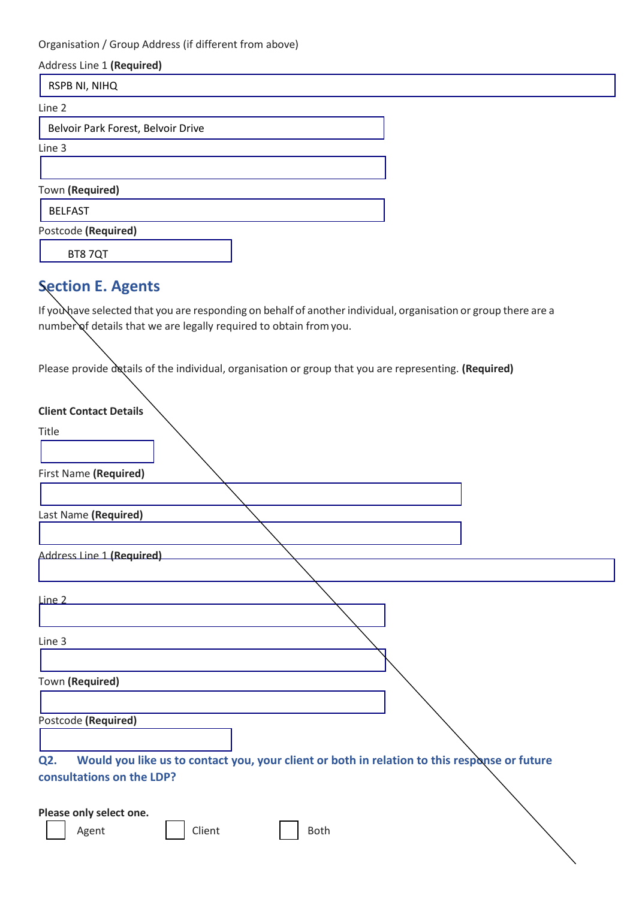Organisation / Group Address (if different from above)

| Address Line 1 (Required)          |  |
|------------------------------------|--|
| RSPB NI, NIHQ                      |  |
| Line 2                             |  |
| Belvoir Park Forest, Belvoir Drive |  |
| Line 3                             |  |
|                                    |  |
| Town (Required)                    |  |
| <b>BELFAST</b>                     |  |
| Postcode (Required)                |  |
| BT87QT                             |  |

# **Section E. Agents**

If you have selected that you are responding on behalf of another individual, organisation or group there are a number of details that we are legally required to obtain from you.

Please provide details of the individual, organisation or group that you are representing. (Required)

| <b>Client Contact Details</b>                                                                       |
|-----------------------------------------------------------------------------------------------------|
| Title                                                                                               |
|                                                                                                     |
| First Name (Required)                                                                               |
|                                                                                                     |
|                                                                                                     |
| Last Name (Required)                                                                                |
|                                                                                                     |
| Address Line 1 (Required)                                                                           |
|                                                                                                     |
| Line 2                                                                                              |
| Line 3                                                                                              |
|                                                                                                     |
| Town (Required)                                                                                     |
|                                                                                                     |
| Postcode (Required)                                                                                 |
|                                                                                                     |
| Would you like us to contact you, your client or both in relation to this response or future<br>Q2. |
| consultations on the LDP?                                                                           |
|                                                                                                     |
|                                                                                                     |
| Please only select one.                                                                             |
| Client<br>Agent<br><b>Both</b>                                                                      |
|                                                                                                     |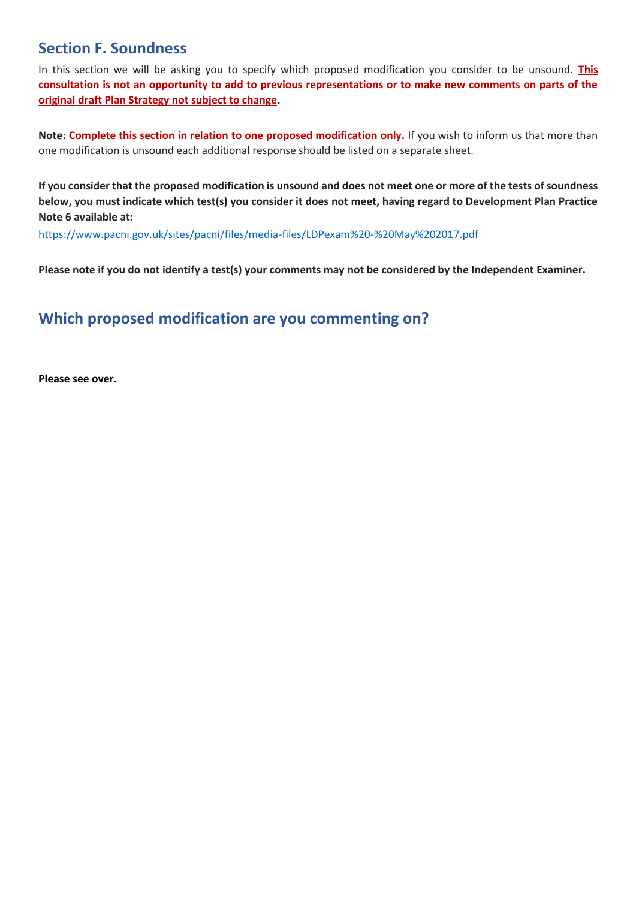## **Section F. Soundness**

In this section we will be asking you to specify which proposed modification you consider to be unsound. **This consultation is not an opportunity to add to previous representations or to make new comments on parts of the original draft Plan Strategy not subject to change.**

Note: **Complete this section in relation to one proposed modification only.** If you wish to inform us that more than one modification is unsound each additional response should be listed on a separate sheet.

If you consider that the proposed modification is unsound and does not meet one or more of the tests of soundness **below, you must indicate which test(s) you consider it does not meet, having regard to Development Plan Practice Note 6 available at:**

https://www.pacni.gov.uk/sites/pacni/files/media-files/LDPexam%20-%20May%202017.pdf

**Please note if you do not identify a test(s) your comments may not be considered by the Independent Examiner.**

## **Which proposed modification are you commenting on?**

**Please see over.**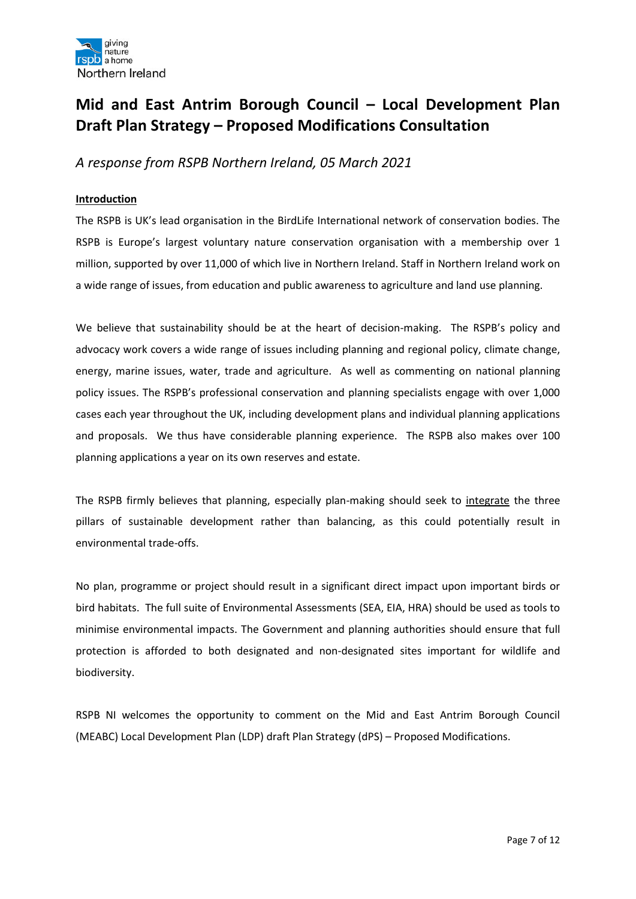

# **Mid and East Antrim Borough Council – Local Development Plan Draft Plan Strategy – Proposed Modifications Consultation**

*A response from RSPB Northern Ireland, 05 March 2021*

#### **Introduction**

The RSPB is UK's lead organisation in the BirdLife International network of conservation bodies. The RSPB is Europe's largest voluntary nature conservation organisation with a membership over 1 million, supported by over 11,000 of which live in Northern Ireland. Staff in Northern Ireland work on a wide range of issues, from education and public awareness to agriculture and land use planning.

We believe that sustainability should be at the heart of decision-making. The RSPB's policy and advocacy work covers a wide range of issues including planning and regional policy, climate change, energy, marine issues, water, trade and agriculture. As well as commenting on national planning policy issues. The RSPB's professional conservation and planning specialists engage with over 1,000 cases each year throughout the UK, including development plans and individual planning applications and proposals. We thus have considerable planning experience. The RSPB also makes over 100 planning applications a year on its own reserves and estate.

The RSPB firmly believes that planning, especially plan-making should seek to integrate the three pillars of sustainable development rather than balancing, as this could potentially result in environmental trade-offs.

No plan, programme or project should result in a significant direct impact upon important birds or bird habitats. The full suite of Environmental Assessments (SEA, EIA, HRA) should be used as tools to minimise environmental impacts. The Government and planning authorities should ensure that full protection is afforded to both designated and non-designated sites important for wildlife and biodiversity.

RSPB NI welcomes the opportunity to comment on the Mid and East Antrim Borough Council (MEABC) Local Development Plan (LDP) draft Plan Strategy (dPS) – Proposed Modifications.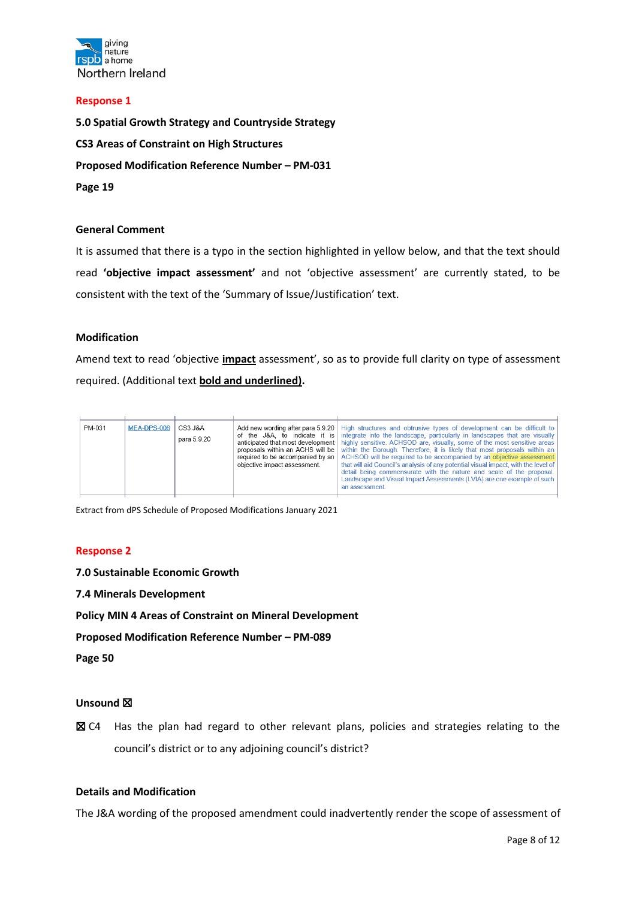

#### **Response 1**

**5.0 Spatial Growth Strategy and Countryside Strategy CS3 Areas of Constraint on High Structures Proposed Modification Reference Number – PM-031 Page 19**

#### **General Comment**

It is assumed that there is a typo in the section highlighted in yellow below, and that the text should read **'objective impact assessment'** and not 'objective assessment' are currently stated, to be consistent with the text of the 'Summary of Issue/Justification' text.

#### **Modification**

Amend text to read 'objective **impact** assessment', so as to provide full clarity on type of assessment required. (Additional text **bold and underlined).**

| PM-031 | MEA-DPS-006 | CS3 J&A<br>para 5.9.20 | required to be accompanied by an<br>objective impact assessment. | Add new wording after para 5.9.20   High structures and obtrusive types of development can be difficult to<br>of the J&A, to indicate it is integrate into the landscape, particularly in landscapes that are visually<br>anticipated that most development   highly sensitive. ACHSOD are, visually, some of the most sensitive areas<br>proposals within an ACHS will be within the Borough. Therefore, it is likely that most proposals within an<br>ACHSOD will be required to be accompanied by an objective assessment<br>that will aid Council's analysis of any potential visual impact, with the level of<br>detail being commensurate with the nature and scale of the proposal.<br>Landscape and Visual Impact Assessments (LVIA) are one example of such<br>an assessment. |
|--------|-------------|------------------------|------------------------------------------------------------------|----------------------------------------------------------------------------------------------------------------------------------------------------------------------------------------------------------------------------------------------------------------------------------------------------------------------------------------------------------------------------------------------------------------------------------------------------------------------------------------------------------------------------------------------------------------------------------------------------------------------------------------------------------------------------------------------------------------------------------------------------------------------------------------|

Extract from dPS Schedule of Proposed Modifications January 2021

#### **Response 2**

**7.0 Sustainable Economic Growth**

**7.4 Minerals Development**

**Policy MIN 4 Areas of Constraint on Mineral Development** 

**Proposed Modification Reference Number – PM-089**

**Page 50**

#### **Unsound** ☒

**⊠** C4 Has the plan had regard to other relevant plans, policies and strategies relating to the council's district or to any adjoining council's district?

#### **Details and Modification**

The J&A wording of the proposed amendment could inadvertently render the scope of assessment of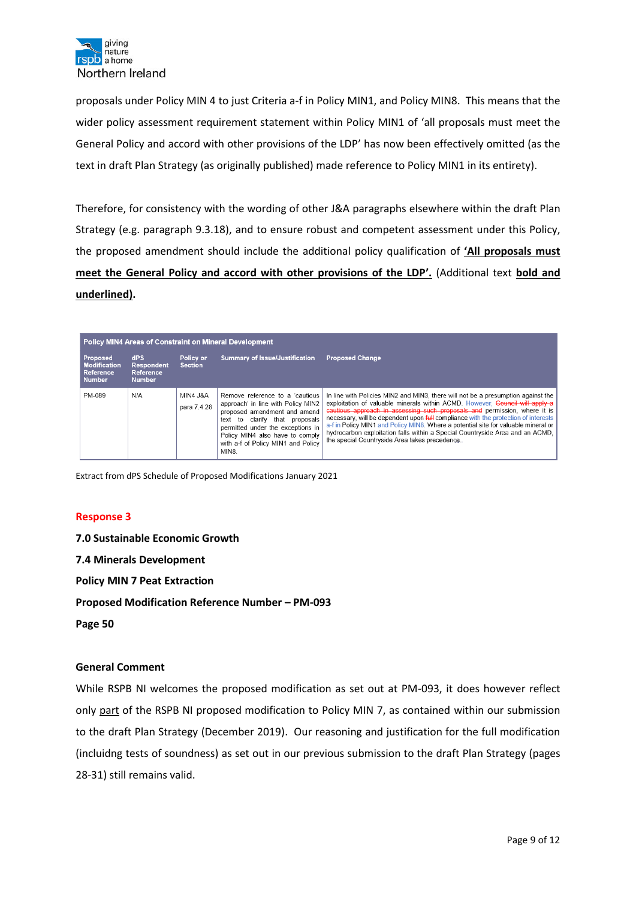

proposals under Policy MIN 4 to just Criteria a-f in Policy MIN1, and Policy MIN8. This means that the wider policy assessment requirement statement within Policy MIN1 of 'all proposals must meet the General Policy and accord with other provisions of the LDP' has now been effectively omitted (as the text in draft Plan Strategy (as originally published) made reference to Policy MIN1 in its entirety).

Therefore, for consistency with the wording of other J&A paragraphs elsewhere within the draft Plan Strategy (e.g. paragraph 9.3.18), and to ensure robust and competent assessment under this Policy, the proposed amendment should include the additional policy qualification of **'All proposals must meet the General Policy and accord with other provisions of the LDP'.** (Additional text **bold and underlined).**

| <b>Policy MIN4 Areas of Constraint on Mineral Development</b>        |                                                        |                                    |                                                                                                                                                                                                                                                                       |                                                                                                                                                                                                                                                                                                                                                                                                                                                                                                                                                             |
|----------------------------------------------------------------------|--------------------------------------------------------|------------------------------------|-----------------------------------------------------------------------------------------------------------------------------------------------------------------------------------------------------------------------------------------------------------------------|-------------------------------------------------------------------------------------------------------------------------------------------------------------------------------------------------------------------------------------------------------------------------------------------------------------------------------------------------------------------------------------------------------------------------------------------------------------------------------------------------------------------------------------------------------------|
| Proposed<br><b>Modification</b><br><b>Reference</b><br><b>Number</b> | dPS<br><b>Respondent</b><br>Reference<br><b>Number</b> | Policy or<br><b>Section</b>        | <b>Summary of Issue/Justification</b>                                                                                                                                                                                                                                 | <b>Proposed Change</b>                                                                                                                                                                                                                                                                                                                                                                                                                                                                                                                                      |
| PM-089                                                               | N/A                                                    | <b>MIN4 J&amp;A</b><br>para 7.4.28 | Remove reference to a 'cautious'<br>approach' in line with Policy MIN2<br>proposed amendment and amend<br>clarify that proposals<br>to<br>text<br>permitted under the exceptions in<br>Policy MIN4 also have to comply<br>with a-f of Policy MIN1 and Policy<br>MIN8. | In line with Policies MIN2 and MIN3, there will not be a presumption against the<br>exploitation of valuable minerals within ACMD. However, Council will apply a<br>cautious approach in assessing such proposals and permission, where it is<br>necessary, will be dependent upon full compliance with the protection of interests<br>a-f in Policy MIN1 and Policy MIN8. Where a potential site for valuable mineral or<br>hydrocarbon exploitation falls within a Special Countryside Area and an ACMD.<br>the special Countryside Area takes precedence |

Extract from dPS Schedule of Proposed Modifications January 2021

#### **Response 3**

**7.0 Sustainable Economic Growth 7.4 Minerals Development Policy MIN 7 Peat Extraction Proposed Modification Reference Number – PM-093 Page 50**

#### **General Comment**

While RSPB NI welcomes the proposed modification as set out at PM-093, it does however reflect only part of the RSPB NI proposed modification to Policy MIN 7, as contained within our submission to the draft Plan Strategy (December 2019). Our reasoning and justification for the full modification (incluidng tests of soundness) as set out in our previous submission to the draft Plan Strategy (pages 28-31) still remains valid.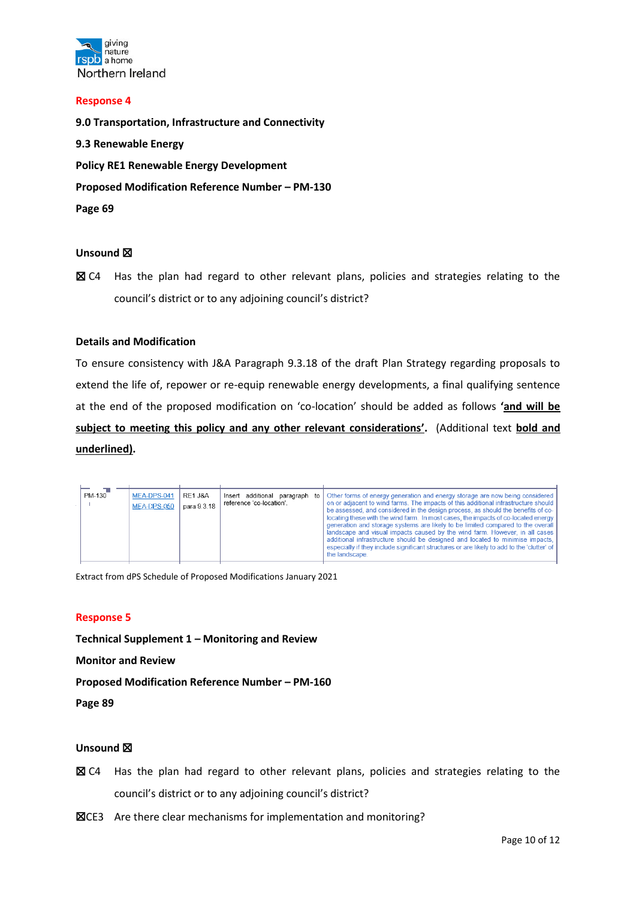

#### **Response 4**

**9.0 Transportation, Infrastructure and Connectivity 9.3 Renewable Energy Policy RE1 Renewable Energy Development Proposed Modification Reference Number – PM-130 Page 69**

#### **Unsound** ☒

■ C4 Has the plan had regard to other relevant plans, policies and strategies relating to the council's district or to any adjoining council's district?

#### **Details and Modification**

To ensure consistency with J&A Paragraph 9.3.18 of the draft Plan Strategy regarding proposals to extend the life of, repower or re-equip renewable energy developments, a final qualifying sentence at the end of the proposed modification on 'co-location' should be added as follows **'and will be subject to meeting this policy and any other relevant considerations'.** (Additional text **bold and underlined).**

| PM-130 | MEA-DPS-041<br>MEA-DPS-050 | RE1 J&A<br>para 9.3.18 | Insert additional paragraph<br>to<br>reference 'co-location'. | Other forms of energy generation and energy storage are now being considered<br>on or adjacent to wind farms. The impacts of this additional infrastructure should<br>be assessed, and considered in the design process, as should the benefits of co-<br>locating these with the wind farm. In most cases, the impacts of co-located energy<br>generation and storage systems are likely to be limited compared to the overall<br>landscape and visual impacts caused by the wind farm. However, in all cases<br>additional infrastructure should be designed and located to minimise impacts.<br>especially if they include significant structures or are likely to add to the 'clutter' of<br>the landscape. |
|--------|----------------------------|------------------------|---------------------------------------------------------------|-----------------------------------------------------------------------------------------------------------------------------------------------------------------------------------------------------------------------------------------------------------------------------------------------------------------------------------------------------------------------------------------------------------------------------------------------------------------------------------------------------------------------------------------------------------------------------------------------------------------------------------------------------------------------------------------------------------------|
|--------|----------------------------|------------------------|---------------------------------------------------------------|-----------------------------------------------------------------------------------------------------------------------------------------------------------------------------------------------------------------------------------------------------------------------------------------------------------------------------------------------------------------------------------------------------------------------------------------------------------------------------------------------------------------------------------------------------------------------------------------------------------------------------------------------------------------------------------------------------------------|

Extract from dPS Schedule of Proposed Modifications January 2021

#### **Response 5**

**Technical Supplement 1 – Monitoring and Review**

**Monitor and Review**

**Proposed Modification Reference Number – PM-160**

**Page 89**

#### **Unsound** ☒

- ☒ C4 Has the plan had regard to other relevant plans, policies and strategies relating to the council's district or to any adjoining council's district?
- ☒CE3 Are there clear mechanisms for implementation and monitoring?